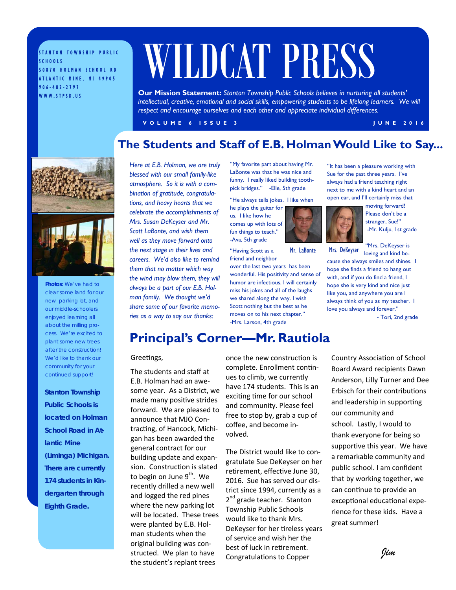STANTON TOWNSHIP PUBLIC SCHOOLS 50870 HOLMAN SCHOOL RD ATLANTIC MINE, MI 49905 906-482-2797 WWW.STPSD.US

# WILDCAT PRESS

**Our Mission Statement:** *Stanton Township Public Schools believes in nurturing all students'*  intellectual, creative, emotional and social skills, empowering students to be lifelong learners. We will *respect and encourage ourselves and each other and appreciate individual differences.* 

**VOLUME 6 ISSUE 3 JUNE 2016** 

### **The Students and Staff of E.B. Holman Would Like to Say...**



**Photos:** *We've had to clear some land for our new parking lot, and our middle-schoolers enjoyed learning all about the milling process. We're excited to plant some new trees after the construction! We'd like to thank our community for your continued support!* 

*Stanton Township Public Schools is located on Holman School Road in Atlantic Mine (Liminga) Michigan. There are currently 174 students in Kindergarten through Eighth Grade.* 

*Here at E.B. Holman, we are truly blessed with our small family-like atmosphere. So it is with a combination of gratitude, congratulations, and heavy hearts that we celebrate the accomplishments of Mrs. Susan DeKeyser and Mr. Scott LaBonte, and wish them well as they move forward onto the next stage in their lives and careers. We'd also like to remind them that no matter which way the wind may blow them, they will always be a part of our E.B. Holman family. We thought we'd share some of our favorite memories as a way to say our thanks:*

"My favorite part about having Mr. LaBonte was that he was nice and funny. I really liked building toothpick bridges." -Elle, 5th grade

"He always tells jokes. I like when

he plays the guitar for us. I like how he comes up with lots of fun things to teach." -Ava, 5th grade

"Having Scott as a friend and neighbor

over the last two years has been wonderful. His positivity and sense of humor are infectious. I will certainly miss his jokes and all of the laughs we shared along the way. I wish Scott nothing but the best as he moves on to his next chapter." -Mrs. Larson, 4th grade

"It has been a pleasure working with Sue for the past three years. I've always had a friend teaching right next to me with a kind heart and an open ear, and I'll certainly miss that

moving forward! Please don't be a stranger, Sue!" -Mr. Kulju, 1st grade

"Mrs. DeKeyser is loving and kind be-

cause she always smiles and shines. I hope she finds a friend to hang out with, and if you do find a friend, I hope she is very kind and nice just like you, and anywhere you are I always think of you as my teacher. I love you always and forever." Mr. LaBonte Mrs. DeKeyser

- Tori, 2nd grade

### **Principal's Corner—Mr. Rautiola**

### Greetings,

The students and staff at E.B. Holman had an awesome year. As a District, we made many positive strides forward. We are pleased to announce that MJO Contracting, of Hancock, Michigan has been awarded the general contract for our building update and expansion. Construction is slated to begin on June 9<sup>th</sup>. We recently drilled a new well and logged the red pines where the new parking lot will be located. These trees were planted by E.B. Holman students when the original building was constructed. We plan to have the student's replant trees

once the new construction is complete. Enrollment continues to climb, we currently have 174 students. This is an exciting time for our school and community. Please feel free to stop by, grab a cup of coffee, and become involved.

The District would like to congratulate Sue DeKeyser on her retirement, effective June 30, 2016. Sue has served our district since 1994, currently as a 2<sup>nd</sup> grade teacher. Stanton Township Public Schools would like to thank Mrs. DeKeyser for her tireless years of service and wish her the best of luck in retirement. Congratulations to Copper

Country Association of School Board Award recipients Dawn Anderson, Lilly Turner and Dee Erbisch for their contributions and leadership in supporting our community and school. Lastly, I would to thank everyone for being so supportive this year. We have a remarkable community and public school. I am confident that by working together, we can continue to provide an exceptional educational experience for these kids. Have a great summer!

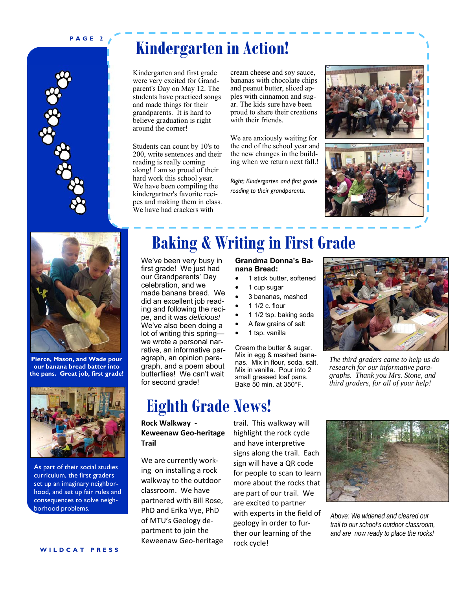### **PAGE 2**



### **Kindergarten in Action!**

Kindergarten and first grade were very excited for Grandparent's Day on May 12. The students have practiced songs and made things for their grandparents. It is hard to believe graduation is right around the corner!

Students can count by 10's to 200, write sentences and their reading is really coming along! I am so proud of their hard work this school year. We have been compiling the kindergartner's favorite recipes and making them in class. We have had crackers with

cream cheese and soy sauce, bananas with chocolate chips and peanut butter, sliced apples with cinnamon and sugar. The kids sure have been proud to share their creations with their friends.

We are anxiously waiting for the end of the school year and the new changes in the building when we return next fall.!

*Right: Kindergarten and first grade reading to their grandparents.* 







**Pierce, Mason, and Wade pour our banana bread batter into the pans. Great job, first grade!**



As part of their social studies curriculum, the first graders set up an imaginary neighborhood, and set up fair rules and consequences to solve neighborhood problems.

# **Baking & Writing in First Grade**

We've been very busy in first grade! We just had our Grandparents' Day celebration, and we made banana bread. We did an excellent job reading and following the recipe, and it was *delicious!* We've also been doing a lot of writing this spring we wrote a personal narrative, an informative paragraph, an opinion paragraph, and a poem about butterflies! We can't wait for second grade!

## **Eighth Grade News!**

**Rock Walkway ‐ Keweenaw Geo‐heritage Trail**

We are currently working on installing a rock walkway to the outdoor classroom. We have partnered with Bill Rose, PhD and Erika Vye, PhD of MTU's Geology department to join the Keweenaw Geo-heritage

### **Grandma Donna's Banana Bread:**

- 1 stick butter, softened
- 1 cup sugar
- 3 bananas, mashed
- 1 1/2 c. flour
- 1 1/2 tsp. baking soda
- A few grains of salt
- 1 tsp. vanilla

rock cycle!

Cream the butter & sugar. Mix in egg & mashed bananas. Mix in flour, soda, salt. Mix in vanilla. Pour into 2 small greased loaf pans. Bake 50 min. at 350°F.



*The third graders came to help us do research for our informative paragraphs. Thank you Mrs. Stone, and third graders, for all of your help!* 

trail. This walkway will highlight the rock cycle and have interpretive signs along the trail. Each sign will have a QR code for people to scan to learn more about the rocks that are part of our trail. We are excited to partner with experts in the field of geology in order to further our learning of the



*Above: We widened and cleared our trail to our school's outdoor classroom, and are now ready to place the rocks!*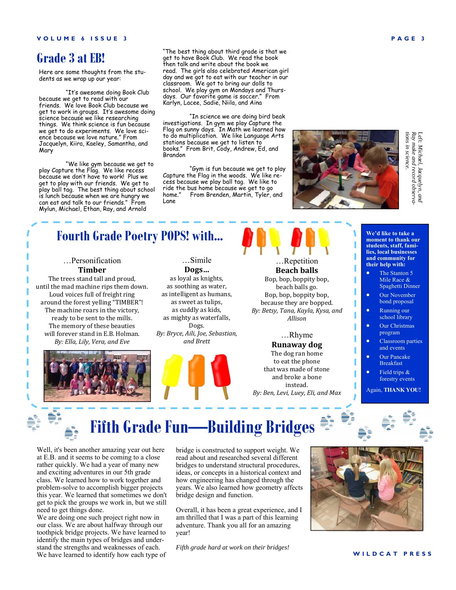### **Grade 3 at EB!**

Here are some thoughts from the students as we wrap up our year:

"It's awesome doing Book Club because we get to read with our friends. We love Book Club because we get to work in groups. It's awesome doing science because we like researching things. We think science is fun because we get to do experiments. We love science because we love nature." From Jacquelyn, Kiira, Kaeley, Samantha, and Mary

"We like gym because we get to play Capture the Flag. We like recess because we don't have to work! Plus we get to play with our friends. We get to play ball tag. The best thing about school is lunch because when we are hungry we can eat and talk to our friends." From Mylun, Michael, Ethan, Ray, and Arnold

"The best thing about third grade is that we get to have Book Club. We read the book then talk and write about the book we read. The girls also celebrated American girl day and we got to eat with our teacher in our classroom. We got to bring our dolls to school. We play gym on Mondays and Thursdays. Our favorite game is soccer." From Karlyn, Lacee, Sadie, Niila, and Aina

"In science we are doing bird beak investigations. In gym we play Capture the Flag on sunny days. In Math we learned how to do multiplication. We like Language Arts stations because we get to listen to books." From Brit, Cody, Andrew, Ed, and Brandon

"Gym is fun because we get to play Capture the Flag in the woods. We like recess because we play ball tag. We like to ride the bus home because we get to go home." From Brenden, Martin, Tyler, and Lane

Left: Michael, Jacquelyn, and<br>Ray make and record observa-<br>tions in science.

### **Fourth Grade Poetry POPS! with...**

### …Personification **Timber**

The trees stand tall and proud, until the mad machine rips them down. Loud voices full of freight ring around the forest yelling "TIMBER"! The machine roars in the victory, ready to be sent to the mills. The memory of these beauties will forever stand in E.B. Holman. *By: Ella, Lily, Vera, and Eve*

…Simile **Dogs…** as loyal as knights, as soothing as water, as intelligent as humans, as sweet as tulips, as cuddly as kids, as mighty as waterfalls, Dogs. *By: Bryce, Aili, Joe, Sebastian, and Brett*



…Repetition **Beach balls** Bop, bop, boppity bop, beach balls go. Bop, bop, boppity bop, because they are bopped. *By: Betsy, Tana, Kayla, Kysa, and Allison*

### …Rhyme **Runaway dog**

The dog ran home to eat the phone that was made of stone and broke a bone instead. *By: Ben, Levi, Luey, Eli, and Max*

**We'd like to take a moment to thank our students, staff, families, local businesses and community for their help with:** 

- The Stanton 5 Mile Race & Spaghetti Dinner
- Our November bond proposal
- Running our school library
- Our Christmas program
- Classroom parties and events
- Our Pancake Breakfast Field trips &

forestry events Again, **THANK YOU!** 

 **Fifth Grade Fun—Building Bridges** 

Well, it's been another amazing year out here at E.B. and it seems to be coming to a close rather quickly. We had a year of many new and exciting adventures in our 5th grade class. We learned how to work together and problem-solve to accomplish bigger projects this year. We learned that sometimes we don't get to pick the groups we work in, but we still need to get things done.

We are doing one such project right now in our class. We are about halfway through our toothpick bridge projects. We have learned to identify the main types of bridges and understand the strengths and weaknesses of each. We have learned to identify how each type of bridge is constructed to support weight. We read about and researched several different bridges to understand structural procedures, ideas, or concepts in a historical context and how engineering has changed through the years. We also learned how geometry affects bridge design and function.

Overall, it has been a great experience, and I am thrilled that I was a part of this learning adventure. Thank you all for an amazing year!

*Fifth grade hard at work on their bridges!*